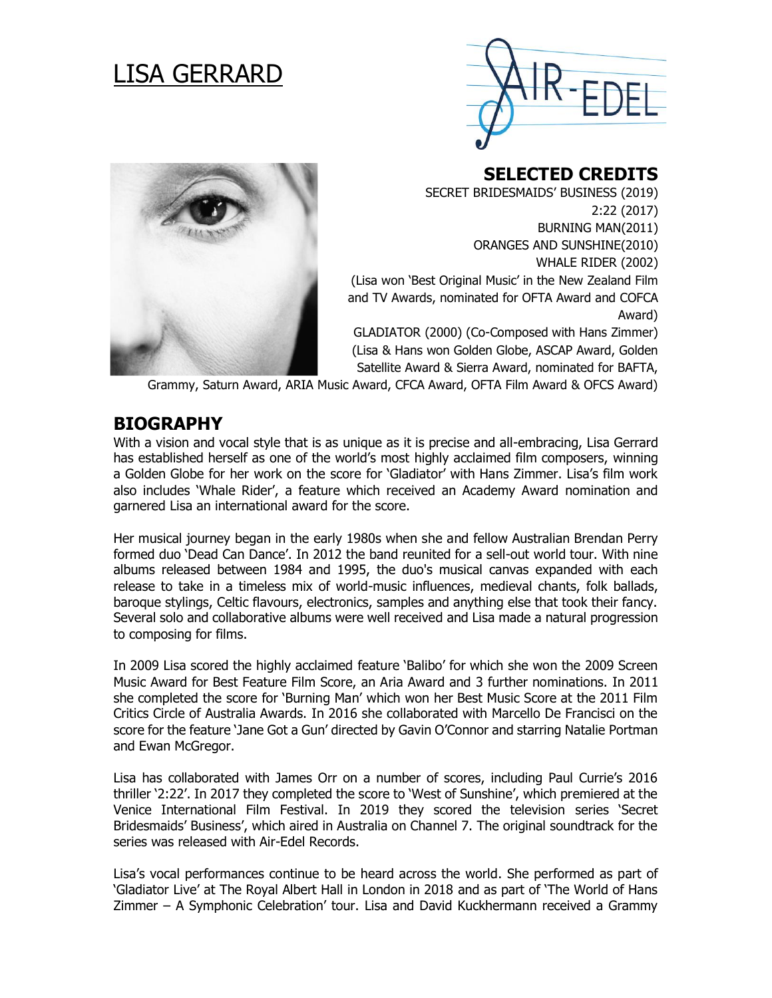# LISA GERRARD





**SELECTED CREDITS** 

SECRET BRIDESMAIDS' BUSINESS (2019) 2:22 (2017) BURNING MAN(2011) ORANGES AND SUNSHINE(2010) WHALE RIDER (2002) (Lisa won 'Best Original Music' in the New Zealand Film and TV Awards, nominated for OFTA Award and COFCA Award) GLADIATOR (2000) (Co-Composed with Hans Zimmer) (Lisa & Hans won Golden Globe, ASCAP Award, Golden Satellite Award & Sierra Award, nominated for BAFTA,

Grammy, Saturn Award, ARIA Music Award, CFCA Award, OFTA Film Award & OFCS Award)

### **BIOGRAPHY**

With a vision and vocal style that is as unique as it is precise and all-embracing, Lisa Gerrard has established herself as one of the world's most highly acclaimed film composers, winning a Golden Globe for her work on the score for 'Gladiator' with Hans Zimmer. Lisa's film work also includes 'Whale Rider', a feature which received an Academy Award nomination and garnered Lisa an international award for the score.

Her musical journey began in the early 1980s when she and fellow Australian Brendan Perry formed duo 'Dead Can Dance'. In 2012 the band reunited for a sell-out world tour. With nine albums released between 1984 and 1995, the duo's musical canvas expanded with each release to take in a timeless mix of world-music influences, medieval chants, folk ballads, baroque stylings, Celtic flavours, electronics, samples and anything else that took their fancy. Several solo and collaborative albums were well received and Lisa made a natural progression to composing for films.

In 2009 Lisa scored the highly acclaimed feature 'Balibo' for which she won the 2009 Screen Music Award for Best Feature Film Score, an Aria Award and 3 further nominations. In 2011 she completed the score for 'Burning Man' which won her Best Music Score at the 2011 Film Critics Circle of Australia Awards. In 2016 she collaborated with Marcello De Francisci on the score for the feature 'Jane Got a Gun' directed by Gavin O'Connor and starring Natalie Portman and Ewan McGregor.

Lisa has collaborated with James Orr on a number of scores, including Paul Currie's 2016 thriller '2:22'. In 2017 they completed the score to 'West of Sunshine', which premiered at the Venice International Film Festival. In 2019 they scored the television series 'Secret Bridesmaids' Business', which aired in Australia on Channel 7. The original soundtrack for the series was released with Air-Edel Records.

Lisa's vocal performances continue to be heard across the world. She performed as part of 'Gladiator Live' at The Royal Albert Hall in London in 2018 and as part of 'The World of Hans Zimmer – A Symphonic Celebration' tour. Lisa and David Kuckhermann received a Grammy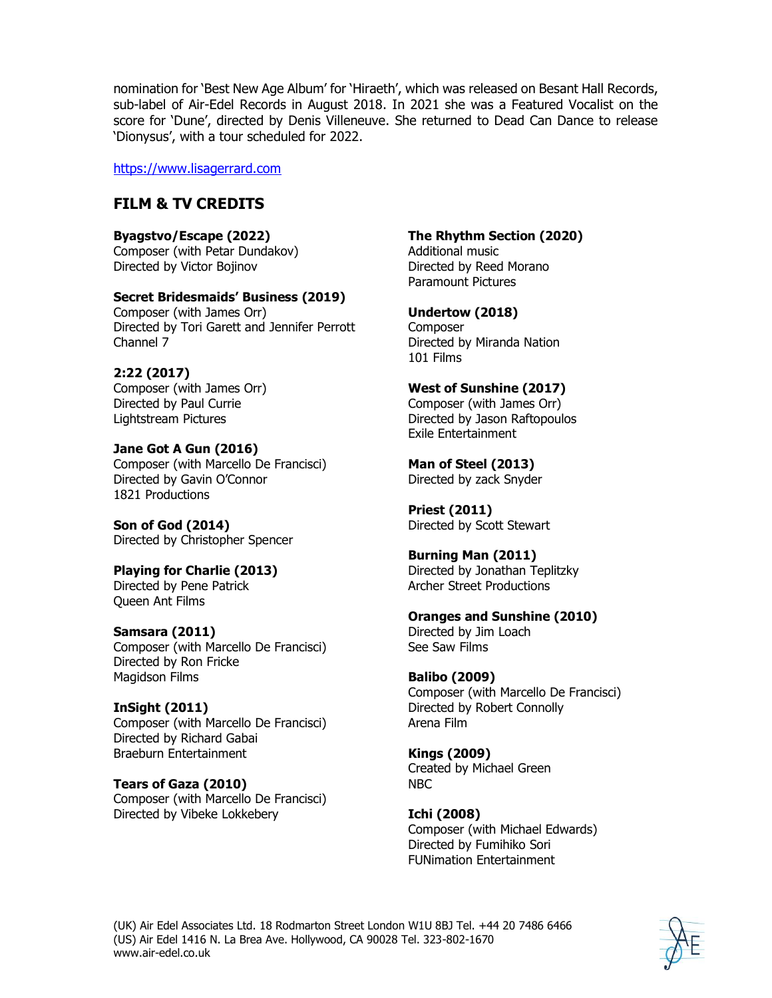nomination for 'Best New Age Album' for 'Hiraeth', which was released on Besant Hall Records, sub-label of Air-Edel Records in August 2018. In 2021 she was a Featured Vocalist on the score for 'Dune', directed by Denis Villeneuve. She returned to Dead Can Dance to release 'Dionysus', with a tour scheduled for 2022.

[https://www.lisagerrard.com](https://www.lisagerrard.com/)

### **FILM & TV CREDITS**

**Byagstvo/Escape (2022)** Composer (with Petar Dundakov) Directed by Victor Bojinov

### **Secret Bridesmaids' Business (2019)**

Composer (with James Orr) Directed by Tori Garett and Jennifer Perrott Channel 7

### **2:22 (2017)**

Composer (with James Orr) Directed by Paul Currie Lightstream Pictures

**Jane Got A Gun (2016)** Composer (with Marcello De Francisci) Directed by Gavin O'Connor 1821 Productions

**Son of God (2014)** Directed by Christopher Spencer

### **Playing for Charlie (2013)**

Directed by Pene Patrick Queen Ant Films

### **Samsara (2011)**

Composer (with Marcello De Francisci) Directed by Ron Fricke Magidson Films

### **InSight (2011)**

Composer (with Marcello De Francisci) Directed by Richard Gabai Braeburn Entertainment

**Tears of Gaza (2010)** Composer (with Marcello De Francisci) Directed by Vibeke Lokkebery

### **The Rhythm Section (2020)**

Additional music Directed by Reed Morano Paramount Pictures

### **Undertow (2018)**

Composer Directed by Miranda Nation 101 Films

### **West of Sunshine (2017)**

Composer (with James Orr) Directed by Jason Raftopoulos Exile Entertainment

## **Man of Steel (2013)**

Directed by zack Snyder

#### **Priest (2011)**  Directed by Scott Stewart

#### **Burning Man (2011)** Directed by Jonathan Teplitzky Archer Street Productions

### **Oranges and Sunshine (2010)**

Directed by Jim Loach See Saw Films

### **Balibo (2009)**

Composer (with Marcello De Francisci) Directed by Robert Connolly Arena Film

#### **Kings (2009)** Created by Michael Green NBC

**Ichi (2008)** Composer (with Michael Edwards) Directed by Fumihiko Sori FUNimation Entertainment

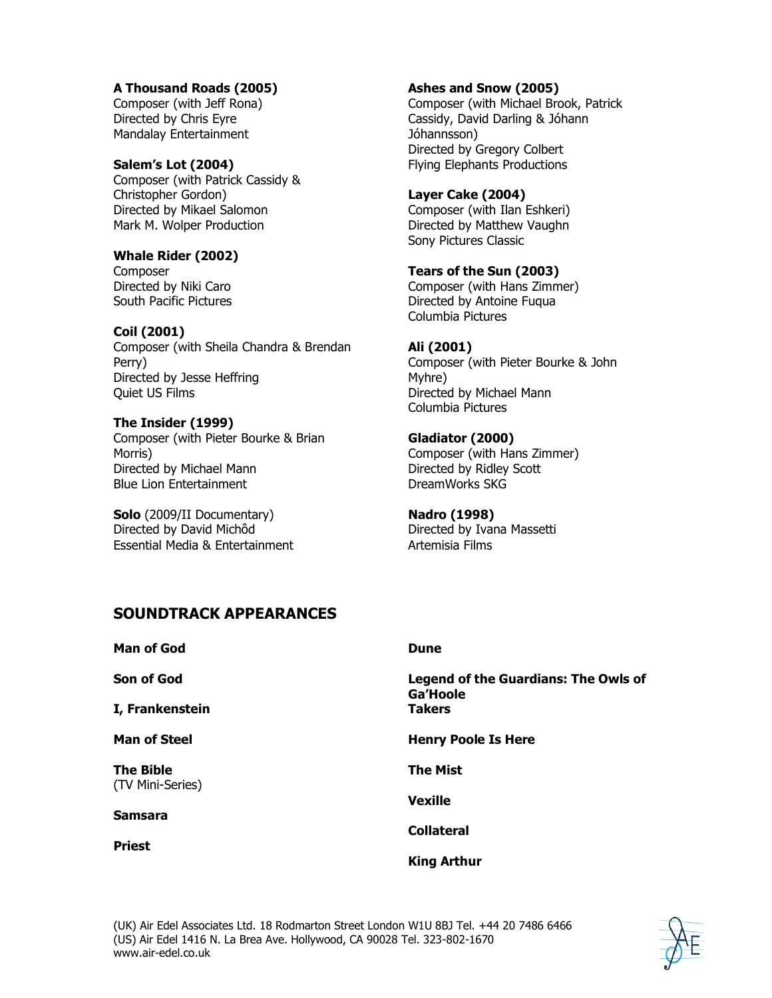### **A Thousand Roads (2005)**

Composer (with Jeff Rona) Directed by Chris Eyre Mandalay Entertainment

**Salem's Lot (2004)** Composer (with Patrick Cassidy & Christopher Gordon) Directed by Mikael Salomon Mark M. Wolper Production

### **Whale Rider (2002)**

Composer Directed by Niki Caro South Pacific Pictures

**Coil (2001)**

Composer (with Sheila Chandra & Brendan Perry) Directed by Jesse Heffring Quiet US Films

#### **The Insider (1999)**

Composer (with Pieter Bourke & Brian Morris) Directed by Michael Mann Blue Lion Entertainment

**Solo** (2009/II Documentary) Directed by David Michôd Essential Media & Entertainment

#### **Ashes and Snow (2005)**

Composer (with Michael Brook, Patrick Cassidy, David Darling & Jóhann Jóhannsson) Directed by Gregory Colbert Flying Elephants Productions

#### **Layer Cake (2004)**

Composer (with Ilan Eshkeri) Directed by Matthew Vaughn Sony Pictures Classic

**Tears of the Sun (2003)** Composer (with Hans Zimmer) Directed by Antoine Fuqua Columbia Pictures

#### **Ali (2001)**

Composer (with Pieter Bourke & John Myhre) Directed by Michael Mann Columbia Pictures

**Gladiator (2000)** Composer (with Hans Zimmer) Directed by Ridley Scott DreamWorks SKG

**Nadro (1998)** Directed by Ivana Massetti Artemisia Films

### **SOUNDTRACK APPEARANCES**

**Man of God**

**Son of God**

**I, Frankenstein**

**Man of Steel**

**The Bible**  (TV Mini-Series)

**Samsara**

**Priest**

#### **Dune**

**Legend of the Guardians: The Owls of Ga'Hoole Takers**

**Henry Poole Is Here**

**The Mist**

**Vexille**

**Collateral**

### **King Arthur**